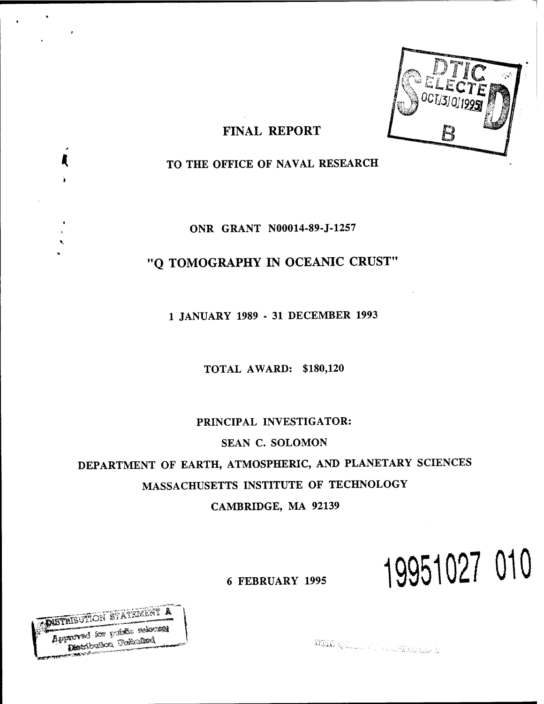

# FINAL REPORT

TO THE OFFICE OF NAVAL RESEARCH

ONR GRANT N00014-89-J-1257

# "Q TOMOGRAPHY IN OCEANIC CRUST"

1 JANUARY 1989 - 31 DECEMBER 1993

TOTAL AWARD: \$180,120

PRINCIPAL INVESTIGATOR: SEAN C. SOLOMON DEPARTMENT OF EARTH, ATMOSPHERIC, AND PLANETARY SCIENCES MASSACHUSETTS INSTITUTE OF TECHNOLOGY CAMBRIDGE, MA 92139

# <sup>6</sup> FEBRUARY <sup>1995</sup> **19951027 010**

**IMS** *<u>AUSTRIEUTRON STATEMENT A</u>*  $\overline{\mathbf{A}}$  pproved for  $\overline{\mathbf{Y}}^{\text{st}}$ **«-««Wt\*\*"-'**

Æ

DIIO QUILLETTE ALAPITATION A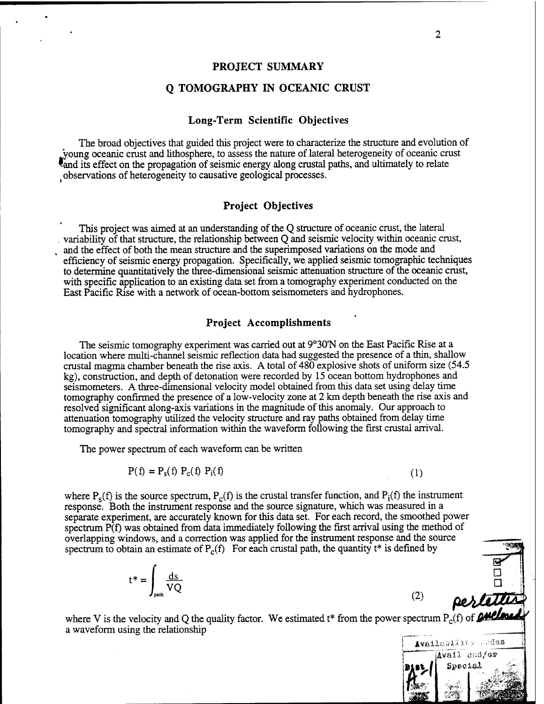#### **PROJECT SUMMARY**

#### **Q TOMOGRAPHY IN OCEANIC CRUST**

#### **Long-Term Scientific Objectives**

The broad objectives that guided this project were to characterize the structure and evolution of young oceanic crust and lithosphere, to assess the nature of lateral heterogeneity of oceanic crust and its effect on the propagation of seismic energy along crustal paths, and ultimately to relate observations of heterogeneity to causative geological processes.

#### **Project Objectives**

This project was aimed at an understanding of the Q structure of oceanic crust, the lateral . variability of that structure, the relationship between Q and seismic velocity within oceanic crust, and the effect of both the mean structure and the superimposed variations on the mode and efficiency of seismic energy propagation. Specifically, we applied seismic tomographic techniques to determine quantitatively the three-dimensional seismic attenuation structure ofthe oceanic crust, with specific application to an existing data set from a tomography experiment conducted on the East Pacific Rise with a network of ocean-bottom seismometers and hydrophones.

#### **Project Accomplishments**

The seismic tomography experiment was carried out at 9°30"N on the East Pacific Rise at a location where multi-channel seismic reflection data had suggested the presence of a thin, shallow crustal magma chamber beneath the rise axis. A total of 480 explosive shots of uniform size (54.5 kg), construction, and depth of detonation were recorded by 15 ocean bottom hydrophones and seismometers. A three-dimensional velocity model obtained from this data set using delay time tomography confirmed the presence of a low-velocity zone at 2 km depth beneath the rise axis and resolved significant along-axis variations in the magnitude of this anomaly. Our approach to attenuation tomography utilized the velocity structure and ray paths obtained from delay time tomography and spectral information within the waveform following the first crustal arrival.

The power spectrum of each waveform can be written

$$
P(f) = P_s(f) P_c(f) P_i(f)
$$
\n(1)

where  $P_s(f)$  is the source spectrum,  $P_c(f)$  is the crustal transfer function, and  $P_i(f)$  the instrument response. Both the instrument response and the source signature, which was measured in a separate experiment, are accurately known for this data set. For each record, the smoothed power spectrum P(f) was obtained from data immediately following the first arrival using the method of overlapping windows, and a correction was applied for the instrument response and the source spectrum to obtain an estimate of  $P_c(f)$  For each crustal path, the quantity t\* is defined by

$$
t^* = \int_{\text{path}} \frac{ds}{VQ} \qquad (2) \qquad \qquad \frac{\Box}{\text{perlattice}}
$$

where V is the velocity and Q the quality factor. We estimated t\* from the power spectrum  $P_c(f)$  of **pulling** a waveform using the relationship



 $\Box$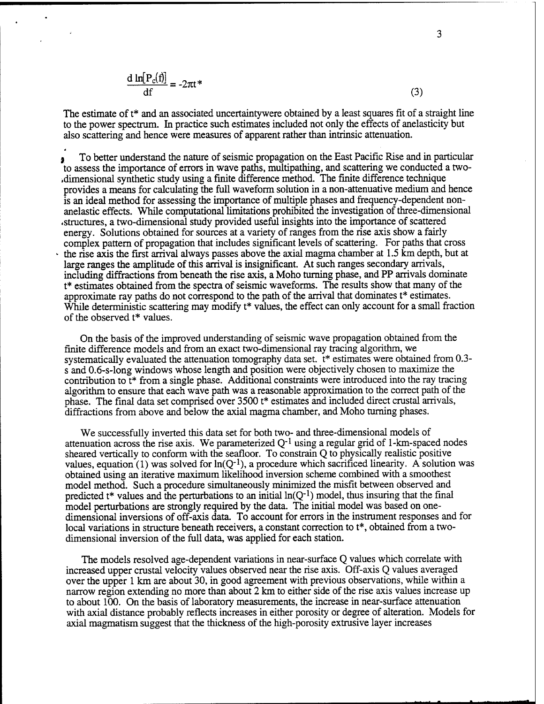$$
\frac{d \ln[P_c(f)]}{df} = -2\pi t^* \tag{3}
$$

The estimate of  $t^*$  and an associated uncertaintywere obtained by a least squares fit of a straight line to the power spectrum. In practice such estimates included not only the effects of anelasticity but also scattering and hence were measures of apparent rather than intrinsic attenuation.

To better understand the nature of seismic propagation on the East Pacific Rise and in particular to assess the importance of errors in wave paths, multipathing, and scattering we conducted a two- .dimensional synthetic study using a finite difference method. The finite difference technique provides a means for calculating the full waveform solution in a non-attenuative medium and hence is an ideal method for assessing the importance of multiple phases and frequency-dependent nonanelastic effects. While computational limitations prohibited the investigation of three-dimensional «structures, a two-dimensional study provided useful insights into the importance of scattered energy. Solutions obtained for sources at a variety of ranges from the rise axis show a fairly complex pattern of propagation that includes significant levels of scattering. For paths that cross the rise axis the first arrival always passes above the axial magma chamber at 1.5 km depth, but at large ranges the amplitude of this arrival is insignificant. At such ranges secondary arrivals, including diffractions from beneath the rise axis, a Moho turning phase, and PP arrivals dominate t\* estimates obtained from the spectra of seismic waveforms. The results show that many of the approximate ray paths do not correspond to the path of the arrival that dominates t\* estimates. While deterministic scattering may modify t<sup>\*</sup> values, the effect can only account for a small fraction of the observed t\* values.

On the basis of the improved understanding of seismic wave propagation obtained from the finite difference models and from an exact two-dimensional ray tracing algorithm, we systematically evaluated the attenuation tomography data set. t\* estimates were obtained from 0.3 s and 0.6-s-long windows whose length and position were objectively chosen to maximize the contribution to t\* from a single phase. Additional constraints were introduced into the ray tracing algorithm to ensure that each wave path was a reasonable approximation to the correct path of the phase. The final data set comprised over 3500 t\* estimates and included direct crustal arrivals, diffractions from above and below the axial magma chamber, and Moho turning phases.

We successfully inverted this data set for both two- and three-dimensional models of attenuation across the rise axis. We parameterized  $Q^{-1}$  using a regular grid of 1-km-spaced nodes sheared vertically to conform with the seafloor. To constrain Q to physically realistic positive values, equation (1) was solved for  $ln(Q^{-1})$ , a procedure which sacrificed linearity. A solution was obtained using an iterative maximum likelihood inversion scheme combined with a smoothest model method. Such a procedure simultaneously minimized the misfit between observed and predicted  $t^*$  values and the perturbations to an initial  $ln(Q^{-1})$  model, thus insuring that the final model perturbations are strongly required by the data. The initial model was based on onedimensional inversions of off-axis data. To account for errors in the instrument responses and for local variations in structure beneath receivers, a constant correction to t<sup>\*</sup>, obtained from a twodimensional inversion of the full data, was applied for each station.

The models resolved age-dependent variations in near-surface Q values which correlate with increased upper crustal velocity values observed near the rise axis. Off-axis Q values averaged over the upper <sup>1</sup> km are about 30, in good agreement with previous observations, while within a narrow region extending no more than about 2 km to either side of the rise axis values increase up to about 100. On the basis of laboratory measurements, the increase in near-surface attenuation with axial distance probably reflects increases in either porosity or degree of alteration. Models for axial magmatism suggest that the thickness of the high-porosity extrusive layer increases

3

**Mil**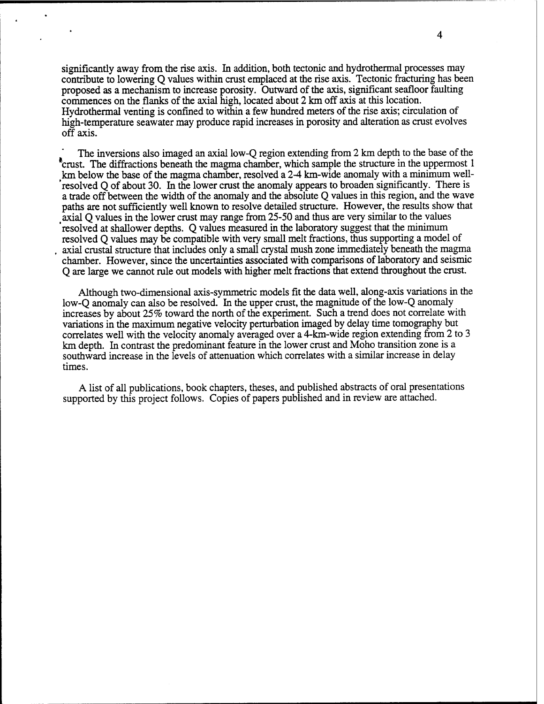significantly away from the rise axis. In addition, both tectonic and hydrothermal processes may contribute to lowering Q values within crust emplaced at the rise axis. Tectonic fracturing has been proposed as a mechanism to increase porosity. Outward of the axis, significant seafloor faulting commences on the flanks of the axial high, located about 2 km off axis at this location. Hydrothermal venting is confined to within a few hundred meters of the rise axis; circulation of high-temperature seawater may produce rapid increases in porosity and alteration as crust evolves off axis.

The inversions also imaged an axial low-Q region extending from 2 km depth to the base of the <sup>6</sup>crust. The diffractions beneath the magma chamber, which sample the structure in the uppermost 1 <sup>&</sup>gt;km below the base of the magma chamber, resolved a 2-4 km-wide anomaly with a minimum well resolved Q of about 30. In the lower crust the anomaly appears to broaden significantly. There is a trade off between the width of the anomaly and the absolute Q values in this region, and the wave paths are not sufficiently well known to resolve detailed structure. However, the results show that *<sup>t</sup>* axial Q values in the lower crust may range from 25-50 and thus are very similar to the values resolved at shallower depths. Q values measured in the laboratory suggest that the minimum resolved Q values may be compatible with very small melt fractions, thus supporting a model of axial crustal structure that includes only a small crystal mush zone immediately beneath the magma chamber. However, since the uncertainties associated with comparisons of laboratory and seismic Q are large we cannot rule out models with higher melt fractions that extend throughout the crust.

Although two-dimensional axis-symmetric models fit the data well, along-axis variations in the low-Q anomaly can also be resolved. In the upper crust, the magnitude of the low-Q anomaly increases by about 25% toward the north of the experiment. Such a trend does not correlate with variations in the maximum negative velocity perturbation imaged by delay time tomography but correlates well with the velocity anomaly averaged over a 4-km-wide region extending from 2 to 3 km depth. In contrast the predominant feature in the lower crust and Moho transition zone is a southward increase in the levels of attenuation which correlates with a similar increase in delay times.

A list of all publications, book chapters, theses, and published abstracts of oral presentations supported by this project follows. Copies of papers published and in review are attached.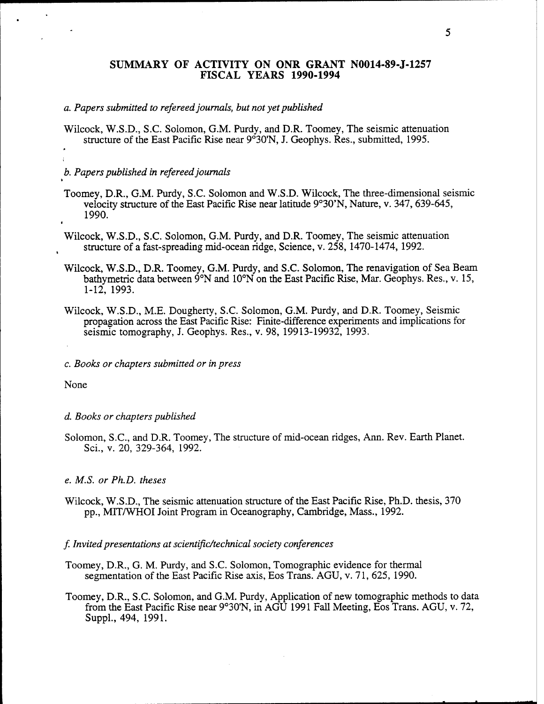#### **SUMMARY OF ACTIVITY ON ONR GRANT N0014-89-J-1257 FISCAL YEARS 1990-1994**

#### *a. Papers submitted to refereedjournals, but not yetpublished*

Wilcock, W.S.D., S.C. Solomon, G.M. Purdy, and D.R. Toomey, The seismic attenuation structure of the East Pacific Rise near 9°30'N, J. Geophys. Res., submitted, 1995.

#### *b. Papers published in refereedjournals*

- Toomey, D.R., G.M. Purdy, S.C. Solomon and W.S.D. Wilcock, The three-dimensional seismic velocity structure of the East Pacific Rise near latitude 9°30'N, Nature, v. 347, 639-645, 1990.
- Wilcock, W.S.D., S.C. Solomon, G.M. Purdy, and D.R. Toomey, The seismic attenuation structure of a fast-spreading mid-ocean ridge, Science, v. 258, 1470-1474, 1992.
- Wilcock, W.S.D., D.R. Toomey, G.M. Purdy, and S.C. Solomon, The renavigation of Sea Beam bathymetric data between 9°N and 10°N on the East Pacific Rise, Mar. Geophys. Res., v. 15, 1-12, 1993.
- Wilcock, W.S.D., M.E. Dougherty, S.C. Solomon, G.M. Purdy, and D.R. Toomey, Seismic propagation across the East Pacific Rise: Finite-difference experiments and implications for seismic tomography, J. Geophys. Res., v. 98, 19913-19932, 1993.
- *c. Books or chapters submitted or in press*

None

#### *d. Books or chapters published*

Solomon, S.C, and D.R. Toomey, The structure of mid-ocean ridges, Ann. Rev. Earth Planet. Sei., v. 20, 329-364, 1992.

#### *e. M.S. or Ph.D. theses*

Wilcock, W.S.D., The seismic attenuation structure of the East Pacific Rise, Ph.D. thesis, 370 pp., MIT/WHOI Joint Program in Oceanography, Cambridge, Mass., 1992.

#### / *Invitedpresentations at scientific/technical society conferences*

- Toomey, D.R., G. M. Purdy, and S.C. Solomon, Tomographie evidence for thermal segmentation of the East Pacific Rise axis, Eos Trans. AGU, v. 71, 625, 1990.
- Toomey, D.R., S.C. Solomon, and G.M. Purdy, Application of new tomographic methods to data from the East Pacific Rise near 9°30'N, in AGU 1991 Fall Meeting, Eos Trans. AGU, v. 72, Suppl, 494, 1991.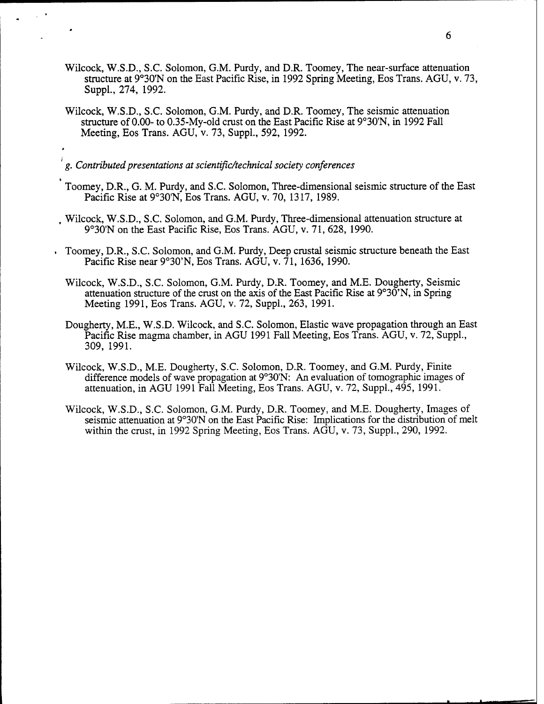- Wilcock, W.S.D., S.C. Solomon, G.M. Purdy, and D.R. Toomey, The near-surface attenuation structure at 9°30'N on the East Pacific Rise, in 1992 Spring Meeting, Eos Trans. AGU, v. 73, Suppl., 274, 1992.
- Wilcock, W.S.D., S.C. Solomon, G.M. Purdy, and D.R. Toomey, The seismic attenuation structure of 0.00- to 0.35-My-old crust on the East Pacific Rise at 9°30'N, in 1992 Fall Meeting, Eos Trans. AGU, v. 73, Suppl., 592, 1992.

*g. Contributedpresentations at scientific/technical society conferences*

- Toomey, D.R., G. M. Purdy, and S.C. Solomon, Three-dimensional seismic structure of the East Pacific Rise at 9°30'N, Eos Trans. AGU, v. 70, 1317, 1989.
- , Wilcock, W.S.D., S.C. Solomon, and G.M. Purdy, Three-dimensional attenuation structure at 9°30'N on the East Pacific Rise, Eos Trans. AGU, v. 71, 628, 1990.
- Toomey, D.R., S.C. Solomon, and G.M. Purdy, Deep crustal seismic structure beneath the East Pacific Rise near 9°30'N, Eos Trans. AGU, v. 71, 1636,1990.
- Wilcock, W.S.D., S.C. Solomon, G.M. Purdy, D.R. Toomey, and M.E. Dougherty, Seismic attenuation structure of the crust on the axis of the East Pacific Rise at 9°30'N, in Spring Meeting 1991, Eos Trans. AGU, v. 72, Suppl., 263, 1991.
- Dougherty, M.E., W.S.D. Wilcock, and S.C. Solomon, Elastic wave propagation through an East Pacific Rise magma chamber, in AGU 1991 Fall Meeting, Eos Trans. AGU, v. 72, Suppl., 309, 1991.
- Wilcock, W.S.D., M.E. Dougherty, S.C. Solomon, D.R. Toomey, and G.M. Purdy, Finite difference models of wave propagation at 9°30'N: An evaluation of tomographic images of attenuation, in AGU 1991 Fall Meeting, Eos Trans. AGU, v. 72, Suppl., 495, 1991.
- Wilcock, W.S.D., S.C. Solomon, G.M. Purdy, D.R. Toomey, and M.E. Dougherty, Images of seismic attenuation at 9°30'N on the East Pacific Rise: Implications for the distribution of melt within the crust, in 1992 Spring Meeting, Eos Trans. AGU, v. 73, Suppl., 290, 1992.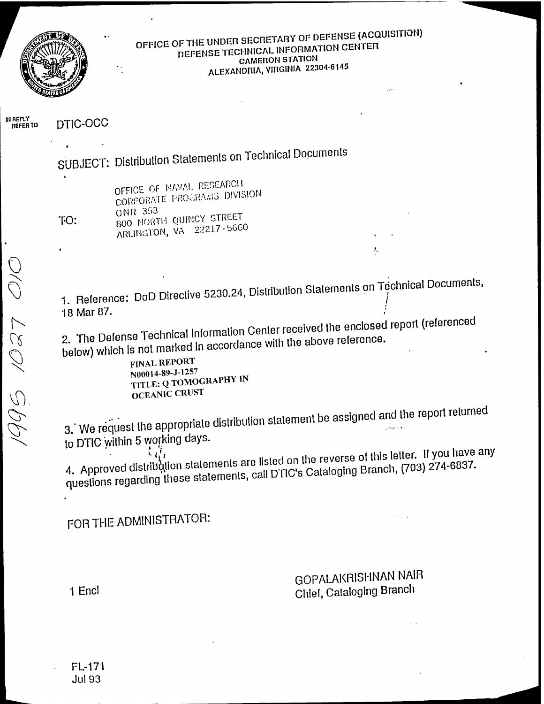

# OFFICE OF THE UNDER SECRETARY OF DEFENSE (ACQUISITION) DEFENSE TECHNICAL INFORMATION CENTER **CAMERON STATION** ALEXANDRIA, VIRGINIA 22304-6145

IN REPLY<br>REFER TO DTIC-OCC

SUBJECT: Distribution Statements on Technical Documents

TO:

OFFICE OF NAVAL RESEARCH CORPORATE PROGRAMS DIVISION **ONR 353** 800 NORTH QUINCY STREET ARLINGTON, VA 22217-5660

1. Reference: DoD Directive 5230.24, Distribution Statements on Technical Documents, 18 Mar 87.

2. The Defense Technical Information Center received the enclosed report (referenced below) which is not marked in accordance with the above reference.

**FINAL REPORT** N00014-89-J-1257 TITLE: Q TOMOGRAPHY IN **OCEANIC CRUST** 

3. We request the appropriate distribution statement be assigned and the report relurned to DTIC within 5 working days.

4. Approved distribution statements are listed on the reverse of this letter. If you have any questions regarding these statements, call DTIC's Cataloging Branch, (703) 274-6837.

FOR THE ADMINISTRATOR:

**GOPALAKRISHNAN NAIR** Chief, Cataloging Branch

ŧ,

1 Encl

**FL-171 Jul 93**